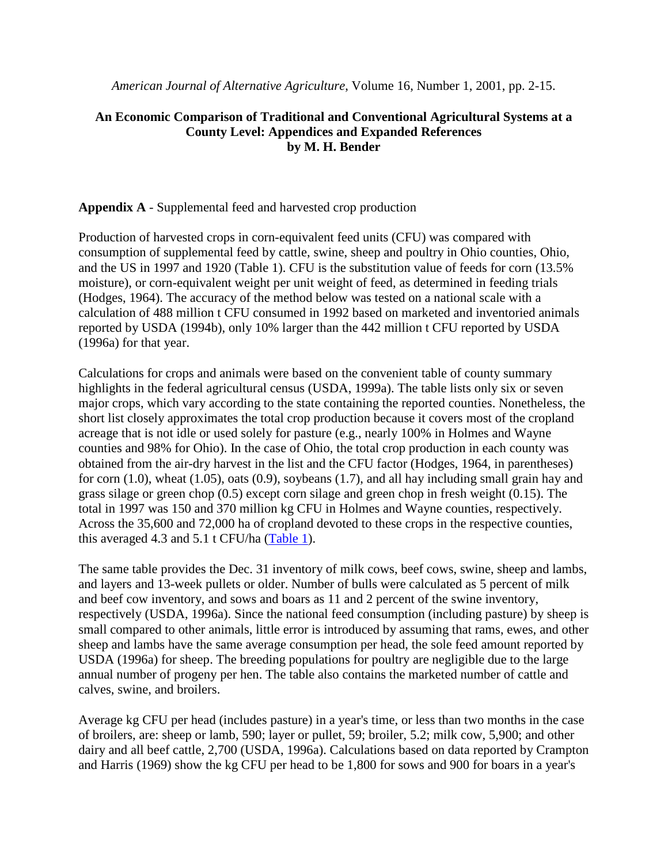*American Journal of Alternative Agriculture*, Volume 16, Number 1, 2001, pp. 2-15.

### **An Economic Comparison of Traditional and Conventional Agricultural Systems at a County Level: Appendices and Expanded References by M. H. Bender**

#### **Appendix A** - Supplemental feed and harvested crop production

Production of harvested crops in corn-equivalent feed units (CFU) was compared with consumption of supplemental feed by cattle, swine, sheep and poultry in Ohio counties, Ohio, and the US in 1997 and 1920 (Table 1). CFU is the substitution value of feeds for corn (13.5% moisture), or corn-equivalent weight per unit weight of feed, as determined in feeding trials (Hodges, 1964). The accuracy of the method below was tested on a national scale with a calculation of 488 million t CFU consumed in 1992 based on marketed and inventoried animals reported by USDA (1994b), only 10% larger than the 442 million t CFU reported by USDA (1996a) for that year.

Calculations for crops and animals were based on the convenient table of county summary highlights in the federal agricultural census (USDA, 1999a). The table lists only six or seven major crops, which vary according to the state containing the reported counties. Nonetheless, the short list closely approximates the total crop production because it covers most of the cropland acreage that is not idle or used solely for pasture (e.g., nearly 100% in Holmes and Wayne counties and 98% for Ohio). In the case of Ohio, the total crop production in each county was obtained from the air-dry harvest in the list and the CFU factor (Hodges, 1964, in parentheses) for corn (1.0), wheat (1.05), oats (0.9), soybeans (1.7), and all hay including small grain hay and grass silage or green chop (0.5) except corn silage and green chop in fresh weight (0.15). The total in 1997 was 150 and 370 million kg CFU in Holmes and Wayne counties, respectively. Across the 35,600 and 72,000 ha of cropland devoted to these crops in the respective counties, this averaged 4.3 and 5.1 t CFU/ha (Table 1).

The same table provides the Dec. 31 inventory of milk cows, beef cows, swine, sheep and lambs, and layers and 13-week pullets or older. Number of bulls were calculated as 5 percent of milk and beef cow inventory, and sows and boars as 11 and 2 percent of the swine inventory, respectively (USDA, 1996a). Since the national feed consumption (including pasture) by sheep is small compared to other animals, little error is introduced by assuming that rams, ewes, and other sheep and lambs have the same average consumption per head, the sole feed amount reported by USDA (1996a) for sheep. The breeding populations for poultry are negligible due to the large annual number of progeny per hen. The table also contains the marketed number of cattle and calves, swine, and broilers.

Average kg CFU per head (includes pasture) in a year's time, or less than two months in the case of broilers, are: sheep or lamb, 590; layer or pullet, 59; broiler, 5.2; milk cow, 5,900; and other dairy and all beef cattle, 2,700 (USDA, 1996a). Calculations based on data reported by Crampton and Harris (1969) show the kg CFU per head to be 1,800 for sows and 900 for boars in a year's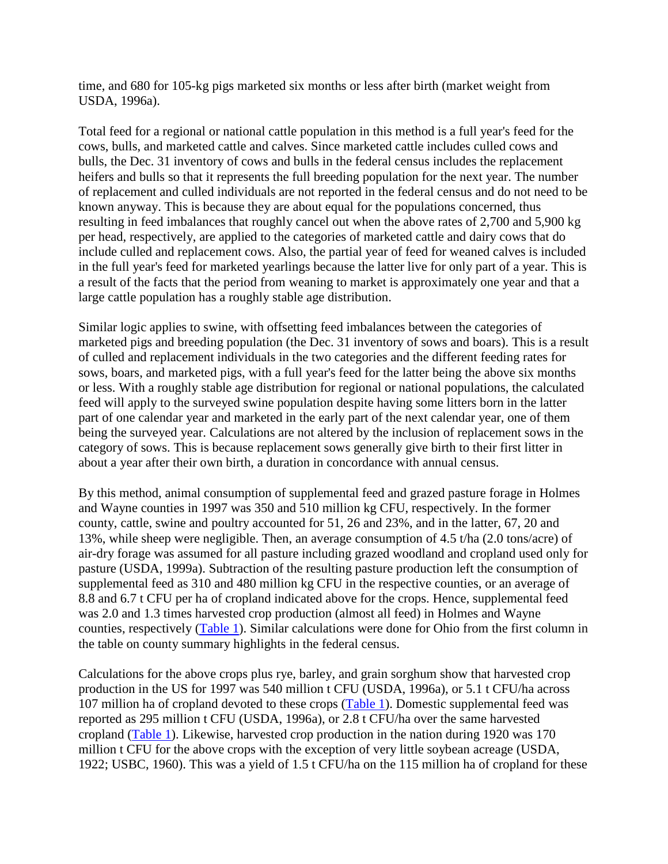time, and 680 for 105-kg pigs marketed six months or less after birth (market weight from USDA, 1996a).

Total feed for a regional or national cattle population in this method is a full year's feed for the cows, bulls, and marketed cattle and calves. Since marketed cattle includes culled cows and bulls, the Dec. 31 inventory of cows and bulls in the federal census includes the replacement heifers and bulls so that it represents the full breeding population for the next year. The number of replacement and culled individuals are not reported in the federal census and do not need to be known anyway. This is because they are about equal for the populations concerned, thus resulting in feed imbalances that roughly cancel out when the above rates of 2,700 and 5,900 kg per head, respectively, are applied to the categories of marketed cattle and dairy cows that do include culled and replacement cows. Also, the partial year of feed for weaned calves is included in the full year's feed for marketed yearlings because the latter live for only part of a year. This is a result of the facts that the period from weaning to market is approximately one year and that a large cattle population has a roughly stable age distribution.

Similar logic applies to swine, with offsetting feed imbalances between the categories of marketed pigs and breeding population (the Dec. 31 inventory of sows and boars). This is a result of culled and replacement individuals in the two categories and the different feeding rates for sows, boars, and marketed pigs, with a full year's feed for the latter being the above six months or less. With a roughly stable age distribution for regional or national populations, the calculated feed will apply to the surveyed swine population despite having some litters born in the latter part of one calendar year and marketed in the early part of the next calendar year, one of them being the surveyed year. Calculations are not altered by the inclusion of replacement sows in the category of sows. This is because replacement sows generally give birth to their first litter in about a year after their own birth, a duration in concordance with annual census.

By this method, animal consumption of supplemental feed and grazed pasture forage in Holmes and Wayne counties in 1997 was 350 and 510 million kg CFU, respectively. In the former county, cattle, swine and poultry accounted for 51, 26 and 23%, and in the latter, 67, 20 and 13%, while sheep were negligible. Then, an average consumption of 4.5 t/ha (2.0 tons/acre) of air-dry forage was assumed for all pasture including grazed woodland and cropland used only for pasture (USDA, 1999a). Subtraction of the resulting pasture production left the consumption of supplemental feed as 310 and 480 million kg CFU in the respective counties, or an average of 8.8 and 6.7 t CFU per ha of cropland indicated above for the crops. Hence, supplemental feed was 2.0 and 1.3 times harvested crop production (almost all feed) in Holmes and Wayne counties, respectively (Table 1). Similar calculations were done for Ohio from the first column in the table on county summary highlights in the federal census.

Calculations for the above crops plus rye, barley, and grain sorghum show that harvested crop production in the US for 1997 was 540 million t CFU (USDA, 1996a), or 5.1 t CFU/ha across 107 million ha of cropland devoted to these crops (Table 1). Domestic supplemental feed was reported as 295 million t CFU (USDA, 1996a), or 2.8 t CFU/ha over the same harvested cropland (Table 1). Likewise, harvested crop production in the nation during 1920 was 170 million t CFU for the above crops with the exception of very little soybean acreage (USDA, 1922; USBC, 1960). This was a yield of 1.5 t CFU/ha on the 115 million ha of cropland for these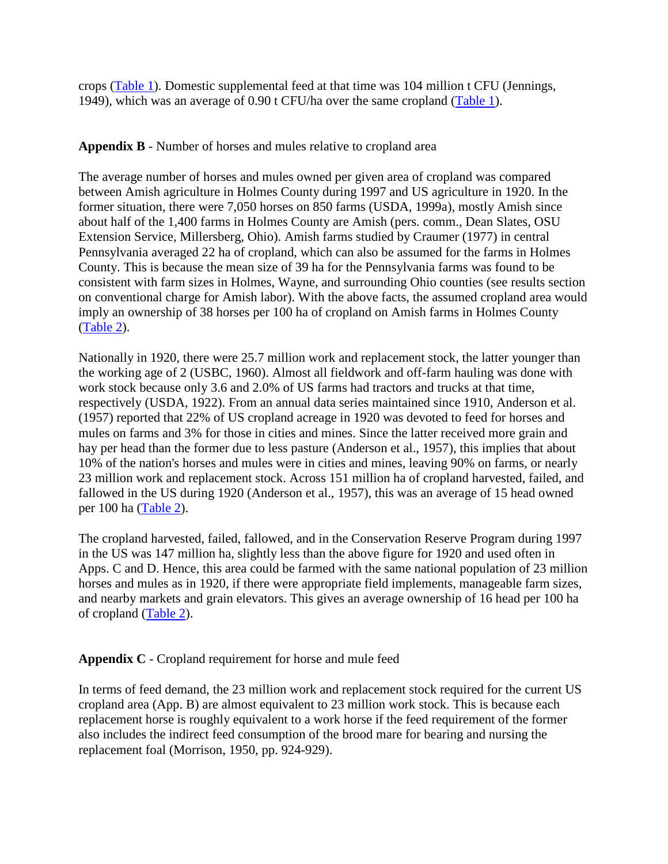crops (Table 1). Domestic supplemental feed at that time was 104 million t CFU (Jennings, 1949), which was an average of 0.90 t CFU/ha over the same cropland (Table 1).

### **Appendix B** - Number of horses and mules relative to cropland area

The average number of horses and mules owned per given area of cropland was compared between Amish agriculture in Holmes County during 1997 and US agriculture in 1920. In the former situation, there were 7,050 horses on 850 farms (USDA, 1999a), mostly Amish since about half of the 1,400 farms in Holmes County are Amish (pers. comm., Dean Slates, OSU Extension Service, Millersberg, Ohio). Amish farms studied by Craumer (1977) in central Pennsylvania averaged 22 ha of cropland, which can also be assumed for the farms in Holmes County. This is because the mean size of 39 ha for the Pennsylvania farms was found to be consistent with farm sizes in Holmes, Wayne, and surrounding Ohio counties (see results section on conventional charge for Amish labor). With the above facts, the assumed cropland area would imply an ownership of 38 horses per 100 ha of cropland on Amish farms in Holmes County (Table 2).

Nationally in 1920, there were 25.7 million work and replacement stock, the latter younger than the working age of 2 (USBC, 1960). Almost all fieldwork and off-farm hauling was done with work stock because only 3.6 and 2.0% of US farms had tractors and trucks at that time, respectively (USDA, 1922). From an annual data series maintained since 1910, Anderson et al. (1957) reported that 22% of US cropland acreage in 1920 was devoted to feed for horses and mules on farms and 3% for those in cities and mines. Since the latter received more grain and hay per head than the former due to less pasture (Anderson et al., 1957), this implies that about 10% of the nation's horses and mules were in cities and mines, leaving 90% on farms, or nearly 23 million work and replacement stock. Across 151 million ha of cropland harvested, failed, and fallowed in the US during 1920 (Anderson et al., 1957), this was an average of 15 head owned per 100 ha (Table 2).

The cropland harvested, failed, fallowed, and in the Conservation Reserve Program during 1997 in the US was 147 million ha, slightly less than the above figure for 1920 and used often in Apps. C and D. Hence, this area could be farmed with the same national population of 23 million horses and mules as in 1920, if there were appropriate field implements, manageable farm sizes, and nearby markets and grain elevators. This gives an average ownership of 16 head per 100 ha of cropland (Table 2).

## **Appendix C** - Cropland requirement for horse and mule feed

In terms of feed demand, the 23 million work and replacement stock required for the current US cropland area (App. B) are almost equivalent to 23 million work stock. This is because each replacement horse is roughly equivalent to a work horse if the feed requirement of the former also includes the indirect feed consumption of the brood mare for bearing and nursing the replacement foal (Morrison, 1950, pp. 924-929).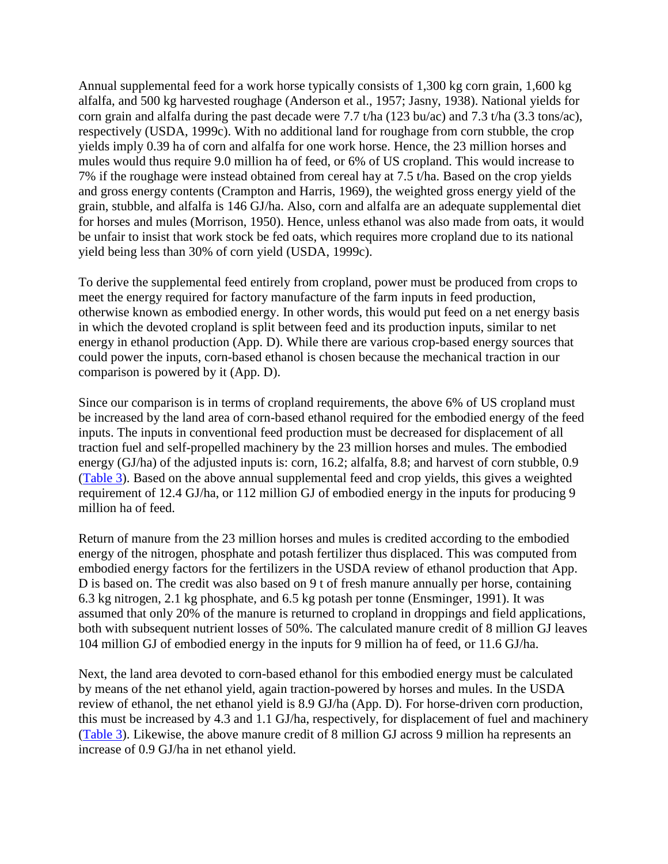Annual supplemental feed for a work horse typically consists of 1,300 kg corn grain, 1,600 kg alfalfa, and 500 kg harvested roughage (Anderson et al., 1957; Jasny, 1938). National yields for corn grain and alfalfa during the past decade were 7.7 t/ha (123 bu/ac) and 7.3 t/ha (3.3 tons/ac), respectively (USDA, 1999c). With no additional land for roughage from corn stubble, the crop yields imply 0.39 ha of corn and alfalfa for one work horse. Hence, the 23 million horses and mules would thus require 9.0 million ha of feed, or 6% of US cropland. This would increase to 7% if the roughage were instead obtained from cereal hay at 7.5 t/ha. Based on the crop yields and gross energy contents (Crampton and Harris, 1969), the weighted gross energy yield of the grain, stubble, and alfalfa is 146 GJ/ha. Also, corn and alfalfa are an adequate supplemental diet for horses and mules (Morrison, 1950). Hence, unless ethanol was also made from oats, it would be unfair to insist that work stock be fed oats, which requires more cropland due to its national yield being less than 30% of corn yield (USDA, 1999c).

To derive the supplemental feed entirely from cropland, power must be produced from crops to meet the energy required for factory manufacture of the farm inputs in feed production, otherwise known as embodied energy. In other words, this would put feed on a net energy basis in which the devoted cropland is split between feed and its production inputs, similar to net energy in ethanol production (App. D). While there are various crop-based energy sources that could power the inputs, corn-based ethanol is chosen because the mechanical traction in our comparison is powered by it (App. D).

Since our comparison is in terms of cropland requirements, the above 6% of US cropland must be increased by the land area of corn-based ethanol required for the embodied energy of the feed inputs. The inputs in conventional feed production must be decreased for displacement of all traction fuel and self-propelled machinery by the 23 million horses and mules. The embodied energy (GJ/ha) of the adjusted inputs is: corn, 16.2; alfalfa, 8.8; and harvest of corn stubble, 0.9 (Table 3). Based on the above annual supplemental feed and crop yields, this gives a weighted requirement of 12.4 GJ/ha, or 112 million GJ of embodied energy in the inputs for producing 9 million ha of feed.

Return of manure from the 23 million horses and mules is credited according to the embodied energy of the nitrogen, phosphate and potash fertilizer thus displaced. This was computed from embodied energy factors for the fertilizers in the USDA review of ethanol production that App. D is based on. The credit was also based on 9 t of fresh manure annually per horse, containing 6.3 kg nitrogen, 2.1 kg phosphate, and 6.5 kg potash per tonne (Ensminger, 1991). It was assumed that only 20% of the manure is returned to cropland in droppings and field applications, both with subsequent nutrient losses of 50%. The calculated manure credit of 8 million GJ leaves 104 million GJ of embodied energy in the inputs for 9 million ha of feed, or 11.6 GJ/ha.

Next, the land area devoted to corn-based ethanol for this embodied energy must be calculated by means of the net ethanol yield, again traction-powered by horses and mules. In the USDA review of ethanol, the net ethanol yield is 8.9 GJ/ha (App. D). For horse-driven corn production, this must be increased by 4.3 and 1.1 GJ/ha, respectively, for displacement of fuel and machinery (Table 3). Likewise, the above manure credit of 8 million GJ across 9 million ha represents an increase of 0.9 GJ/ha in net ethanol yield.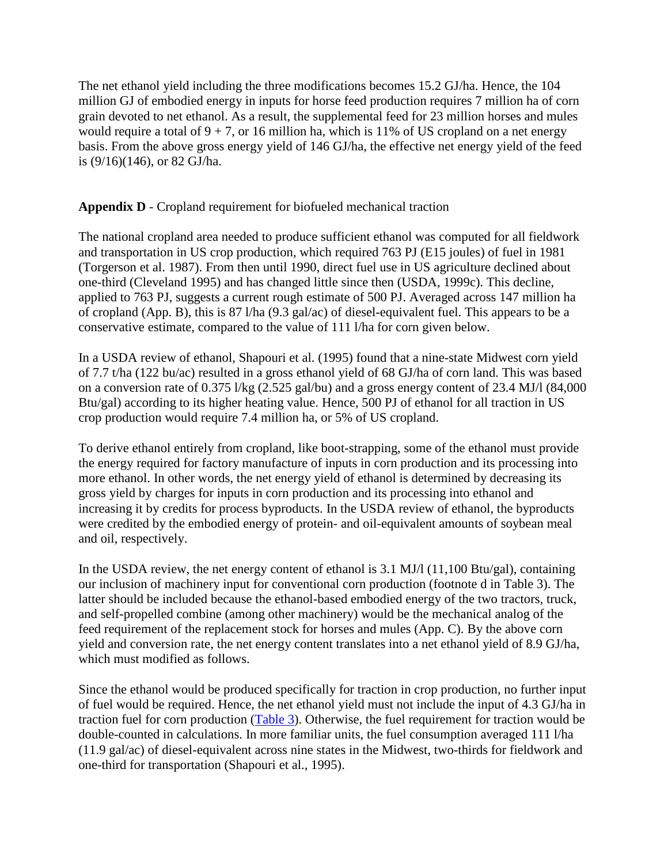The net ethanol yield including the three modifications becomes 15.2 GJ/ha. Hence, the 104 million GJ of embodied energy in inputs for horse feed production requires 7 million ha of corn grain devoted to net ethanol. As a result, the supplemental feed for 23 million horses and mules would require a total of  $9 + 7$ , or 16 million ha, which is 11% of US cropland on a net energy basis. From the above gross energy yield of 146 GJ/ha, the effective net energy yield of the feed is (9/16)(146), or 82 GJ/ha.

# **Appendix D** - Cropland requirement for biofueled mechanical traction

The national cropland area needed to produce sufficient ethanol was computed for all fieldwork and transportation in US crop production, which required 763 PJ (E15 joules) of fuel in 1981 (Torgerson et al. 1987). From then until 1990, direct fuel use in US agriculture declined about one-third (Cleveland 1995) and has changed little since then (USDA, 1999c). This decline, applied to 763 PJ, suggests a current rough estimate of 500 PJ. Averaged across 147 million ha of cropland (App. B), this is 87 l/ha (9.3 gal/ac) of diesel-equivalent fuel. This appears to be a conservative estimate, compared to the value of 111 l/ha for corn given below.

In a USDA review of ethanol, Shapouri et al. (1995) found that a nine-state Midwest corn yield of 7.7 t/ha (122 bu/ac) resulted in a gross ethanol yield of 68 GJ/ha of corn land. This was based on a conversion rate of 0.375 l/kg (2.525 gal/bu) and a gross energy content of 23.4 MJ/l (84,000 Btu/gal) according to its higher heating value. Hence, 500 PJ of ethanol for all traction in US crop production would require 7.4 million ha, or 5% of US cropland.

To derive ethanol entirely from cropland, like boot-strapping, some of the ethanol must provide the energy required for factory manufacture of inputs in corn production and its processing into more ethanol. In other words, the net energy yield of ethanol is determined by decreasing its gross yield by charges for inputs in corn production and its processing into ethanol and increasing it by credits for process byproducts. In the USDA review of ethanol, the byproducts were credited by the embodied energy of protein- and oil-equivalent amounts of soybean meal and oil, respectively.

In the USDA review, the net energy content of ethanol is 3.1 MJ/l (11,100 Btu/gal), containing our inclusion of machinery input for conventional corn production (footnote d in Table 3). The latter should be included because the ethanol-based embodied energy of the two tractors, truck, and self-propelled combine (among other machinery) would be the mechanical analog of the feed requirement of the replacement stock for horses and mules (App. C). By the above corn yield and conversion rate, the net energy content translates into a net ethanol yield of 8.9 GJ/ha, which must modified as follows.

Since the ethanol would be produced specifically for traction in crop production, no further input of fuel would be required. Hence, the net ethanol yield must not include the input of 4.3 GJ/ha in traction fuel for corn production (Table 3). Otherwise, the fuel requirement for traction would be double-counted in calculations. In more familiar units, the fuel consumption averaged 111 l/ha (11.9 gal/ac) of diesel-equivalent across nine states in the Midwest, two-thirds for fieldwork and one-third for transportation (Shapouri et al., 1995).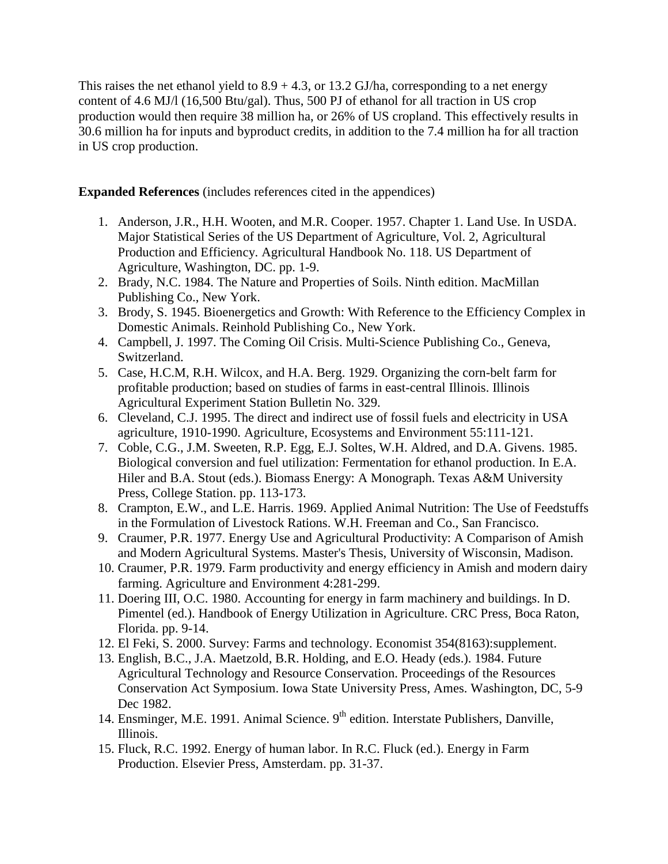This raises the net ethanol yield to  $8.9 + 4.3$ , or  $13.2$  GJ/ha, corresponding to a net energy content of 4.6 MJ/l (16,500 Btu/gal). Thus, 500 PJ of ethanol for all traction in US crop production would then require 38 million ha, or 26% of US cropland. This effectively results in 30.6 million ha for inputs and byproduct credits, in addition to the 7.4 million ha for all traction in US crop production.

**Expanded References** (includes references cited in the appendices)

- 1. Anderson, J.R., H.H. Wooten, and M.R. Cooper. 1957. Chapter 1. Land Use. In USDA. Major Statistical Series of the US Department of Agriculture, Vol. 2, Agricultural Production and Efficiency. Agricultural Handbook No. 118. US Department of Agriculture, Washington, DC. pp. 1-9.
- 2. Brady, N.C. 1984. The Nature and Properties of Soils. Ninth edition. MacMillan Publishing Co., New York.
- 3. Brody, S. 1945. Bioenergetics and Growth: With Reference to the Efficiency Complex in Domestic Animals. Reinhold Publishing Co., New York.
- 4. Campbell, J. 1997. The Coming Oil Crisis. Multi-Science Publishing Co., Geneva, Switzerland.
- 5. Case, H.C.M, R.H. Wilcox, and H.A. Berg. 1929. Organizing the corn-belt farm for profitable production; based on studies of farms in east-central Illinois. Illinois Agricultural Experiment Station Bulletin No. 329.
- 6. Cleveland, C.J. 1995. The direct and indirect use of fossil fuels and electricity in USA agriculture, 1910-1990. Agriculture, Ecosystems and Environment 55:111-121.
- 7. Coble, C.G., J.M. Sweeten, R.P. Egg, E.J. Soltes, W.H. Aldred, and D.A. Givens. 1985. Biological conversion and fuel utilization: Fermentation for ethanol production. In E.A. Hiler and B.A. Stout (eds.). Biomass Energy: A Monograph. Texas A&M University Press, College Station. pp. 113-173.
- 8. Crampton, E.W., and L.E. Harris. 1969. Applied Animal Nutrition: The Use of Feedstuffs in the Formulation of Livestock Rations. W.H. Freeman and Co., San Francisco.
- 9. Craumer, P.R. 1977. Energy Use and Agricultural Productivity: A Comparison of Amish and Modern Agricultural Systems. Master's Thesis, University of Wisconsin, Madison.
- 10. Craumer, P.R. 1979. Farm productivity and energy efficiency in Amish and modern dairy farming. Agriculture and Environment 4:281-299.
- 11. Doering III, O.C. 1980. Accounting for energy in farm machinery and buildings. In D. Pimentel (ed.). Handbook of Energy Utilization in Agriculture. CRC Press, Boca Raton, Florida. pp. 9-14.
- 12. El Feki, S. 2000. Survey: Farms and technology. Economist 354(8163):supplement.
- 13. English, B.C., J.A. Maetzold, B.R. Holding, and E.O. Heady (eds.). 1984. Future Agricultural Technology and Resource Conservation. Proceedings of the Resources Conservation Act Symposium. Iowa State University Press, Ames. Washington, DC, 5-9 Dec 1982.
- 14. Ensminger, M.E. 1991. Animal Science. 9<sup>th</sup> edition. Interstate Publishers, Danville, Illinois.
- 15. Fluck, R.C. 1992. Energy of human labor. In R.C. Fluck (ed.). Energy in Farm Production. Elsevier Press, Amsterdam. pp. 31-37.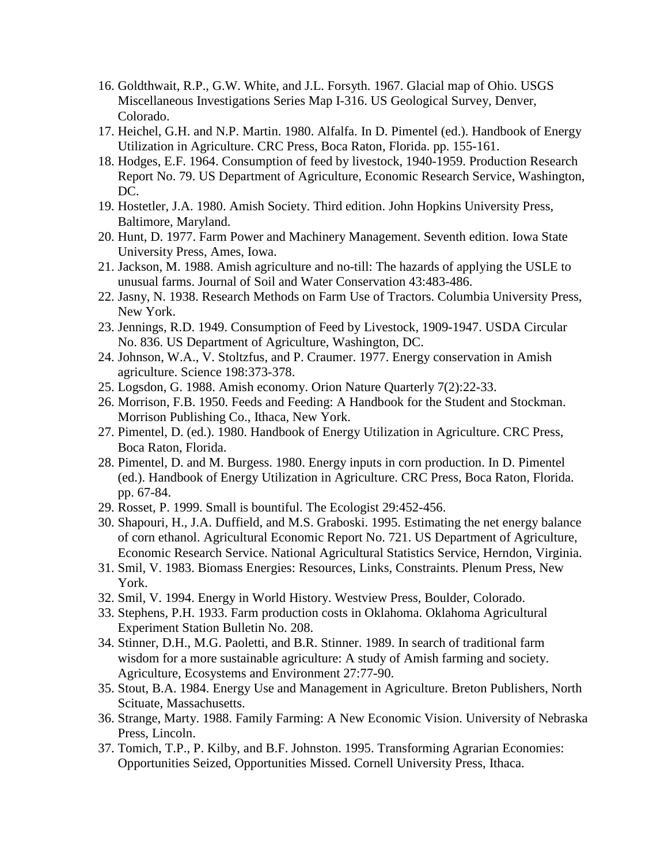- 16. Goldthwait, R.P., G.W. White, and J.L. Forsyth. 1967. Glacial map of Ohio. USGS Miscellaneous Investigations Series Map I-316. US Geological Survey, Denver, Colorado.
- 17. Heichel, G.H. and N.P. Martin. 1980. Alfalfa. In D. Pimentel (ed.). Handbook of Energy Utilization in Agriculture. CRC Press, Boca Raton, Florida. pp. 155-161.
- 18. Hodges, E.F. 1964. Consumption of feed by livestock, 1940-1959. Production Research Report No. 79. US Department of Agriculture, Economic Research Service, Washington, DC.
- 19. Hostetler, J.A. 1980. Amish Society. Third edition. John Hopkins University Press, Baltimore, Maryland.
- 20. Hunt, D. 1977. Farm Power and Machinery Management. Seventh edition. Iowa State University Press, Ames, Iowa.
- 21. Jackson, M. 1988. Amish agriculture and no-till: The hazards of applying the USLE to unusual farms. Journal of Soil and Water Conservation 43:483-486.
- 22. Jasny, N. 1938. Research Methods on Farm Use of Tractors. Columbia University Press, New York.
- 23. Jennings, R.D. 1949. Consumption of Feed by Livestock, 1909-1947. USDA Circular No. 836. US Department of Agriculture, Washington, DC.
- 24. Johnson, W.A., V. Stoltzfus, and P. Craumer. 1977. Energy conservation in Amish agriculture. Science 198:373-378.
- 25. Logsdon, G. 1988. Amish economy. Orion Nature Quarterly 7(2):22-33.
- 26. Morrison, F.B. 1950. Feeds and Feeding: A Handbook for the Student and Stockman. Morrison Publishing Co., Ithaca, New York.
- 27. Pimentel, D. (ed.). 1980. Handbook of Energy Utilization in Agriculture. CRC Press, Boca Raton, Florida.
- 28. Pimentel, D. and M. Burgess. 1980. Energy inputs in corn production. In D. Pimentel (ed.). Handbook of Energy Utilization in Agriculture. CRC Press, Boca Raton, Florida. pp. 67-84.
- 29. Rosset, P. 1999. Small is bountiful. The Ecologist 29:452-456.
- 30. Shapouri, H., J.A. Duffield, and M.S. Graboski. 1995. Estimating the net energy balance of corn ethanol. Agricultural Economic Report No. 721. US Department of Agriculture, Economic Research Service. National Agricultural Statistics Service, Herndon, Virginia.
- 31. Smil, V. 1983. Biomass Energies: Resources, Links, Constraints. Plenum Press, New York.
- 32. Smil, V. 1994. Energy in World History. Westview Press, Boulder, Colorado.
- 33. Stephens, P.H. 1933. Farm production costs in Oklahoma. Oklahoma Agricultural Experiment Station Bulletin No. 208.
- 34. Stinner, D.H., M.G. Paoletti, and B.R. Stinner. 1989. In search of traditional farm wisdom for a more sustainable agriculture: A study of Amish farming and society. Agriculture, Ecosystems and Environment 27:77-90.
- 35. Stout, B.A. 1984. Energy Use and Management in Agriculture. Breton Publishers, North Scituate, Massachusetts.
- 36. Strange, Marty. 1988. Family Farming: A New Economic Vision. University of Nebraska Press, Lincoln.
- 37. Tomich, T.P., P. Kilby, and B.F. Johnston. 1995. Transforming Agrarian Economies: Opportunities Seized, Opportunities Missed. Cornell University Press, Ithaca.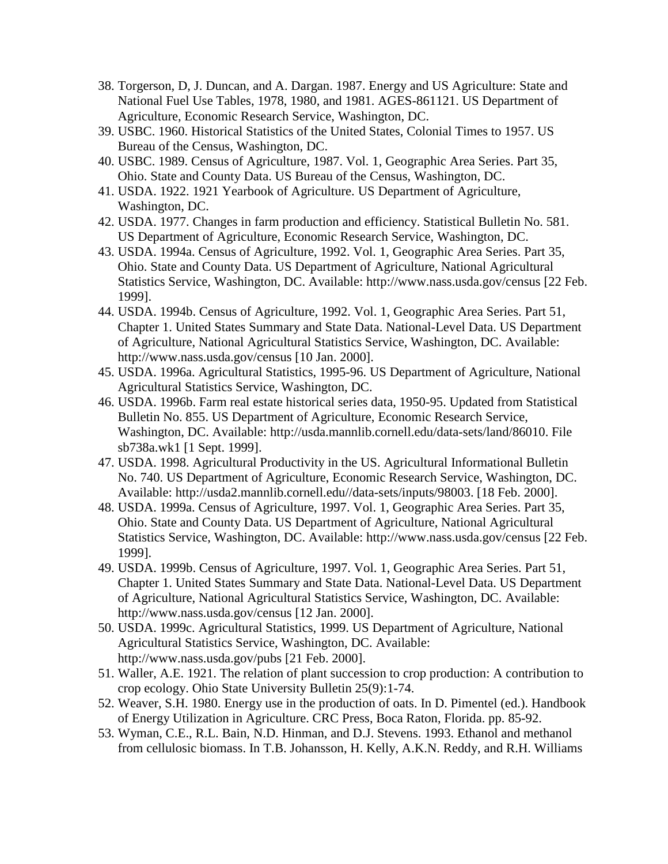- 38. Torgerson, D, J. Duncan, and A. Dargan. 1987. Energy and US Agriculture: State and National Fuel Use Tables, 1978, 1980, and 1981. AGES-861121. US Department of Agriculture, Economic Research Service, Washington, DC.
- 39. USBC. 1960. Historical Statistics of the United States, Colonial Times to 1957. US Bureau of the Census, Washington, DC.
- 40. USBC. 1989. Census of Agriculture, 1987. Vol. 1, Geographic Area Series. Part 35, Ohio. State and County Data. US Bureau of the Census, Washington, DC.
- 41. USDA. 1922. 1921 Yearbook of Agriculture. US Department of Agriculture, Washington, DC.
- 42. USDA. 1977. Changes in farm production and efficiency. Statistical Bulletin No. 581. US Department of Agriculture, Economic Research Service, Washington, DC.
- 43. USDA. 1994a. Census of Agriculture, 1992. Vol. 1, Geographic Area Series. Part 35, Ohio. State and County Data. US Department of Agriculture, National Agricultural Statistics Service, Washington, DC. Available: http://www.nass.usda.gov/census [22 Feb. 1999].
- 44. USDA. 1994b. Census of Agriculture, 1992. Vol. 1, Geographic Area Series. Part 51, Chapter 1. United States Summary and State Data. National-Level Data. US Department of Agriculture, National Agricultural Statistics Service, Washington, DC. Available: http://www.nass.usda.gov/census [10 Jan. 2000].
- 45. USDA. 1996a. Agricultural Statistics, 1995-96. US Department of Agriculture, National Agricultural Statistics Service, Washington, DC.
- 46. USDA. 1996b. Farm real estate historical series data, 1950-95. Updated from Statistical Bulletin No. 855. US Department of Agriculture, Economic Research Service, Washington, DC. Available: http://usda.mannlib.cornell.edu/data-sets/land/86010. File sb738a.wk1 [1 Sept. 1999].
- 47. USDA. 1998. Agricultural Productivity in the US. Agricultural Informational Bulletin No. 740. US Department of Agriculture, Economic Research Service, Washington, DC. Available: http://usda2.mannlib.cornell.edu//data-sets/inputs/98003. [18 Feb. 2000].
- 48. USDA. 1999a. Census of Agriculture, 1997. Vol. 1, Geographic Area Series. Part 35, Ohio. State and County Data. US Department of Agriculture, National Agricultural Statistics Service, Washington, DC. Available: http://www.nass.usda.gov/census [22 Feb. 1999].
- 49. USDA. 1999b. Census of Agriculture, 1997. Vol. 1, Geographic Area Series. Part 51, Chapter 1. United States Summary and State Data. National-Level Data. US Department of Agriculture, National Agricultural Statistics Service, Washington, DC. Available: http://www.nass.usda.gov/census [12 Jan. 2000].
- 50. USDA. 1999c. Agricultural Statistics, 1999. US Department of Agriculture, National Agricultural Statistics Service, Washington, DC. Available: http://www.nass.usda.gov/pubs [21 Feb. 2000].
- 51. Waller, A.E. 1921. The relation of plant succession to crop production: A contribution to crop ecology. Ohio State University Bulletin 25(9):1-74.
- 52. Weaver, S.H. 1980. Energy use in the production of oats. In D. Pimentel (ed.). Handbook of Energy Utilization in Agriculture. CRC Press, Boca Raton, Florida. pp. 85-92.
- 53. Wyman, C.E., R.L. Bain, N.D. Hinman, and D.J. Stevens. 1993. Ethanol and methanol from cellulosic biomass. In T.B. Johansson, H. Kelly, A.K.N. Reddy, and R.H. Williams